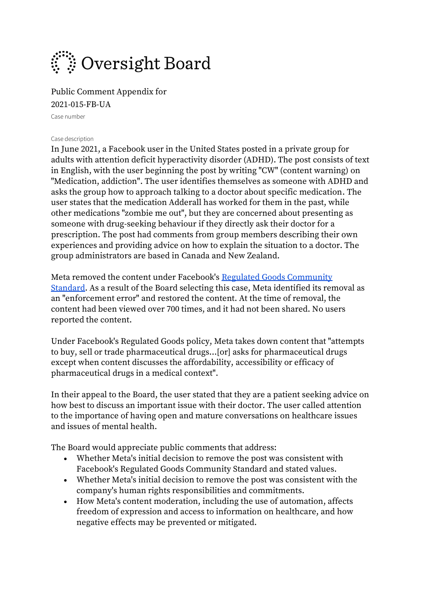

Public Comment Appendix for 2021-015-FB-UA

Case number

#### Case description

In June 2021, a Facebook user in the United States posted in a private group for adults with attention deficit hyperactivity disorder (ADHD). The post consists of text in English, with the user beginning the post by writing "CW" (content warning) on "Medication, addiction". The user identifies themselves as someone with ADHD and asks the group how to approach talking to a doctor about specific medication. The user states that the medication Adderall has worked for them in the past, while other medications "zombie me out", but they are concerned about presenting as someone with drug-seeking behaviour if they directly ask their doctor for a prescription. The post had comments from group members describing their own experiences and providing advice on how to explain the situation to a doctor. The group administrators are based in Canada and New Zealand.

Meta removed the content under Facebook's [Regulated Goods Community](https://l.facebook.com/l.php?u=https%3A%2F%2Ftransparency.fb.com%2Fpolicies%2Fcommunity-standards%2Fregulated-goods%2F&h=AT2-E6WWJt76ShuYzh7gY9-TM4OqMlEmyXWbpn6lmd3E22JNELaT-uTVPdaxP0jNMwbXhLsr5irTFZPSHDJtYkjLxT8SIv1uRk187yqhWtYcfm04odD5mRkFp4k6skg3)  [Standard.](https://l.facebook.com/l.php?u=https%3A%2F%2Ftransparency.fb.com%2Fpolicies%2Fcommunity-standards%2Fregulated-goods%2F&h=AT2-E6WWJt76ShuYzh7gY9-TM4OqMlEmyXWbpn6lmd3E22JNELaT-uTVPdaxP0jNMwbXhLsr5irTFZPSHDJtYkjLxT8SIv1uRk187yqhWtYcfm04odD5mRkFp4k6skg3) As a result of the Board selecting this case, Meta identified its removal as an "enforcement error" and restored the content. At the time of removal, the content had been viewed over 700 times, and it had not been shared. No users reported the content.

Under Facebook's Regulated Goods policy, Meta takes down content that "attempts to buy, sell or trade pharmaceutical drugs…[or] asks for pharmaceutical drugs except when content discusses the affordability, accessibility or efficacy of pharmaceutical drugs in a medical context".

In their appeal to the Board, the user stated that they are a patient seeking advice on how best to discuss an important issue with their doctor. The user called attention to the importance of having open and mature conversations on healthcare issues and issues of mental health.

The Board would appreciate public comments that address:

- Whether Meta's initial decision to remove the post was consistent with Facebook's Regulated Goods Community Standard and stated values.
- Whether Meta's initial decision to remove the post was consistent with the company's human rights responsibilities and commitments.
- How Meta's content moderation, including the use of automation, affects freedom of expression and access to information on healthcare, and how negative effects may be prevented or mitigated.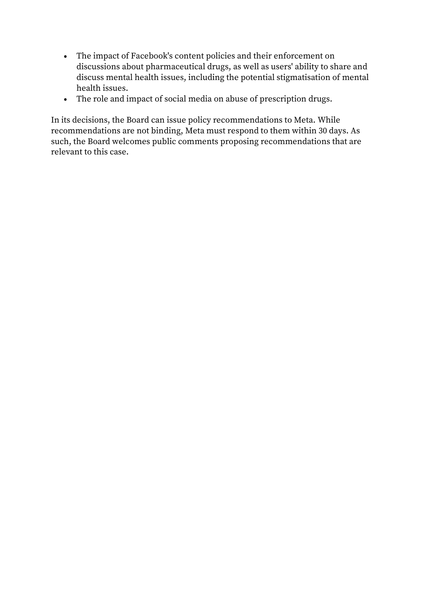- The impact of Facebook's content policies and their enforcement on discussions about pharmaceutical drugs, as well as users' ability to share and discuss mental health issues, including the potential stigmatisation of mental health issues.
- The role and impact of social media on abuse of prescription drugs.

In its decisions, the Board can issue policy recommendations to Meta. While recommendations are not binding, Meta must respond to them within 30 days. As such, the Board welcomes public comments proposing recommendations that are relevant to this case.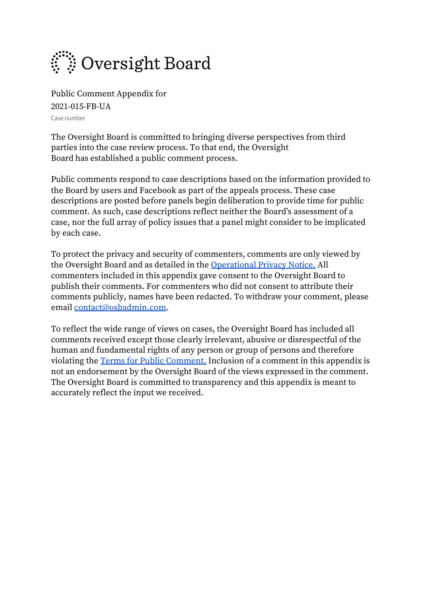

Public Comment Appendix for 2021-015-FB-UA Case number

The Oversight Board is committed to bringing diverse perspectives from third parties into the case review process. To that end, the Oversight Board has established a public comment process.

Public comments respond to case descriptions based on the information provided to the Board by users and Facebook as part of the appeals process. These case descriptions are posted before panels begin deliberation to provide time for public comment. As such, case descriptions reflect neither the Board's assessment of a case, nor the full array of policy issues that a panel might consider to be implicated by each case.

To protect the privacy and security of commenters, comments are only viewed by the Oversight Board and as detailed in the [Operational Privacy Notice.](https://osbcontent.s3-eu-west-1.amazonaws.com/OSB+Operational+Privacy+Notice.pdf) All commenters included in this appendix gave consent to the Oversight Board to publish their comments. For commenters who did not consent to attribute their comments publicly, names have been redacted. To withdraw your comment, please email [contact@osbadmin.com.](mailto:contact@osbadmin.com?subject=Public%20Comment%20Form)

To reflect the wide range of views on cases, the Oversight Board has included all comments received except those clearly irrelevant, abusive or disrespectful of the human and fundamental rights of any person or group of persons and therefore violating the [Terms for Public Comment.](https://osbcontent.s3-eu-west-1.amazonaws.com/Public+Comment+Terms+OSB.pdf) Inclusion of a comment in this appendix is not an endorsement by the Oversight Board of the views expressed in the comment. The Oversight Board is committed to transparency and this appendix is meant to accurately reflect the input we received.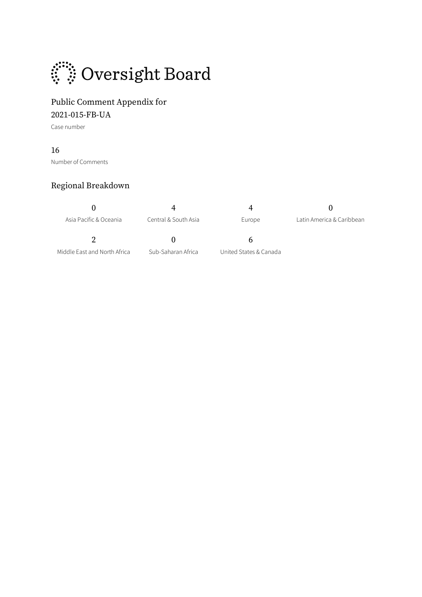

## Public Comment Appendix for 2021-015-FB-UA

Case number

#### 16

Number of Comments

## Regional Breakdown

| Asia Pacific & Oceania       | Central & South Asia | Europe                 | Latin America & Caribbean |
|------------------------------|----------------------|------------------------|---------------------------|
|                              | $\mathbf{U}$         | h                      |                           |
| Middle East and North Africa | Sub-Saharan Africa   | United States & Canada |                           |